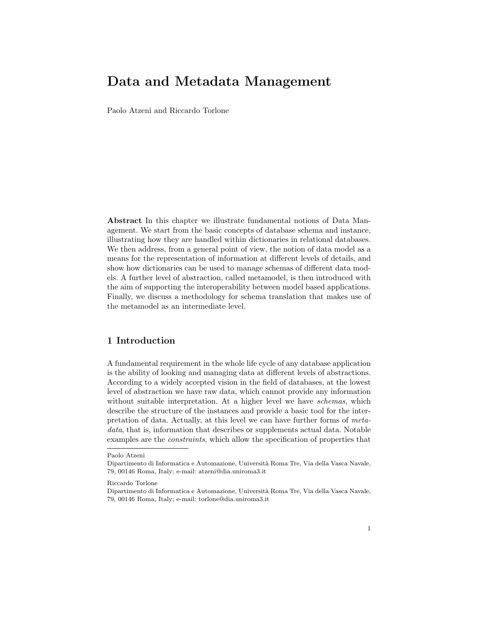# Data and Metadata Management

Paolo Atzeni and Riccardo Torlone

Abstract In this chapter we illustrate fundamental notions of Data Management. We start from the basic concepts of database schema and instance, illustrating how they are handled within dictionaries in relational databases. We then address, from a general point of view, the notion of data model as a means for the representation of information at different levels of details, and show how dictionaries can be used to manage schemas of different data models. A further level of abstraction, called metamodel, is then introduced with the aim of supporting the interoperability between model based applications. Finally, we discuss a methodology for schema translation that makes use of the metamodel as an intermediate level.

# 1 Introduction

A fundamental requirement in the whole life cycle of any database application is the ability of looking and managing data at different levels of abstractions. According to a widely accepted vision in the field of databases, at the lowest level of abstraction we have raw data, which cannot provide any information without suitable interpretation. At a higher level we have *schemas*, which describe the structure of the instances and provide a basic tool for the interpretation of data. Actually, at this level we can have further forms of metadata, that is, information that describes or supplements actual data. Notable examples are the constraints, which allow the specification of properties that

Paolo Atzeni

Dipartimento di Informatica e Automazione, Università Roma Tre, Via della Vasca Navale, 79, 00146 Roma, Italy; e-mail: atzeni@dia.uniroma3.it

Riccardo Torlone

Dipartimento di Informatica e Automazione, Università Roma Tre, Via della Vasca Navale, 79, 00146 Roma, Italy; e-mail: torlone@dia.uniroma3.it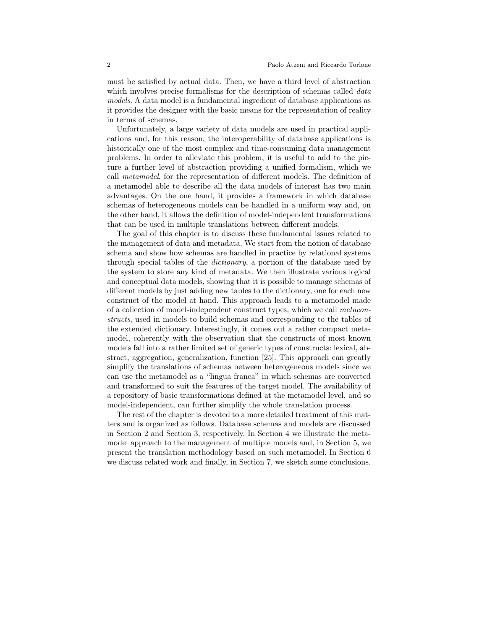must be satisfied by actual data. Then, we have a third level of abstraction which involves precise formalisms for the description of schemas called *data* models. A data model is a fundamental ingredient of database applications as it provides the designer with the basic means for the representation of reality in terms of schemas.

Unfortunately, a large variety of data models are used in practical applications and, for this reason, the interoperability of database applications is historically one of the most complex and time-consuming data management problems. In order to alleviate this problem, it is useful to add to the picture a further level of abstraction providing a unified formalism, which we call metamodel, for the representation of different models. The definition of a metamodel able to describe all the data models of interest has two main advantages. On the one hand, it provides a framework in which database schemas of heterogeneous models can be handled in a uniform way and, on the other hand, it allows the definition of model-independent transformations that can be used in multiple translations between different models.

The goal of this chapter is to discuss these fundamental issues related to the management of data and metadata. We start from the notion of database schema and show how schemas are handled in practice by relational systems through special tables of the dictionary, a portion of the database used by the system to store any kind of metadata. We then illustrate various logical and conceptual data models, showing that it is possible to manage schemas of different models by just adding new tables to the dictionary, one for each new construct of the model at hand. This approach leads to a metamodel made of a collection of model-independent construct types, which we call metaconstructs, used in models to build schemas and corresponding to the tables of the extended dictionary. Interestingly, it comes out a rather compact metamodel, coherently with the observation that the constructs of most known models fall into a rather limited set of generic types of constructs: lexical, abstract, aggregation, generalization, function [25]. This approach can greatly simplify the translations of schemas between heterogeneous models since we can use the metamodel as a "lingua franca" in which schemas are converted and transformed to suit the features of the target model. The availability of a repository of basic transformations defined at the metamodel level, and so model-independent, can further simplify the whole translation process.

The rest of the chapter is devoted to a more detailed treatment of this matters and is organized as follows. Database schemas and models are discussed in Section 2 and Section 3, respectively. In Section 4 we illustrate the metamodel approach to the management of multiple models and, in Section 5, we present the translation methodology based on such metamodel. In Section 6 we discuss related work and finally, in Section 7, we sketch some conclusions.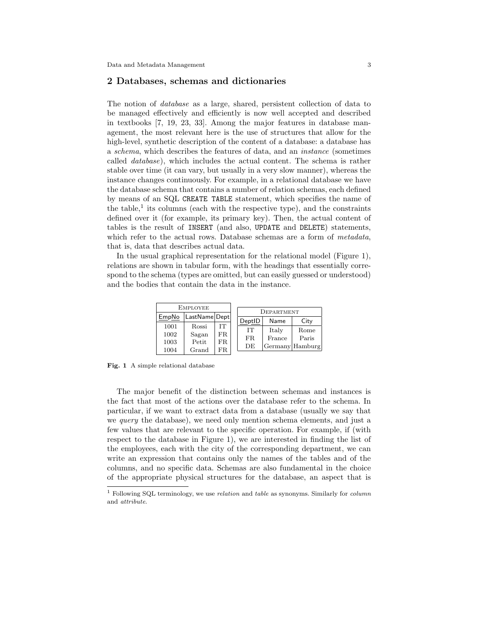### 2 Databases, schemas and dictionaries

The notion of database as a large, shared, persistent collection of data to be managed effectively and efficiently is now well accepted and described in textbooks [7, 19, 23, 33]. Among the major features in database management, the most relevant here is the use of structures that allow for the high-level, synthetic description of the content of a database: a database has a schema, which describes the features of data, and an instance (sometimes called database), which includes the actual content. The schema is rather stable over time (it can vary, but usually in a very slow manner), whereas the instance changes continuously. For example, in a relational database we have the database schema that contains a number of relation schemas, each defined by means of an SQL CREATE TABLE statement, which specifies the name of the table,<sup>1</sup> its columns (each with the respective type), and the constraints defined over it (for example, its primary key). Then, the actual content of tables is the result of INSERT (and also, UPDATE and DELETE) statements, which refer to the actual rows. Database schemas are a form of *metadata*, that is, data that describes actual data.

In the usual graphical representation for the relational model (Figure 1), relations are shown in tabular form, with the headings that essentially correspond to the schema (types are omitted, but can easily guessed or understood) and the bodies that contain the data in the instance.

|       | EMPLOYEE      |     | DEPARTMENT |                 |       |  |  |
|-------|---------------|-----|------------|-----------------|-------|--|--|
| EmpNo | LastName Dept |     | DeptID     | Name            | City  |  |  |
| 1001  | Rossi         | IТ  |            |                 |       |  |  |
| 1002  | Sagan         | FR. | IТ         | Italy           | Rome  |  |  |
| 1003  | Petit         | FR. | FR.        | France          | Paris |  |  |
| 1004  | Grand         | FR. | DE         | Germany Hamburg |       |  |  |
|       |               |     |            |                 |       |  |  |

Fig. 1 A simple relational database

The major benefit of the distinction between schemas and instances is the fact that most of the actions over the database refer to the schema. In particular, if we want to extract data from a database (usually we say that we query the database), we need only mention schema elements, and just a few values that are relevant to the specific operation. For example, if (with respect to the database in Figure 1), we are interested in finding the list of the employees, each with the city of the corresponding department, we can write an expression that contains only the names of the tables and of the columns, and no specific data. Schemas are also fundamental in the choice of the appropriate physical structures for the database, an aspect that is

<sup>&</sup>lt;sup>1</sup> Following SQL terminology, we use *relation* and table as synonyms. Similarly for *column* and attribute.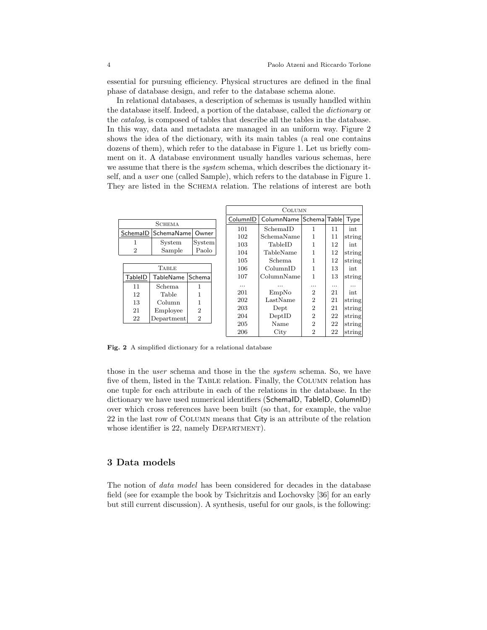essential for pursuing efficiency. Physical structures are defined in the final phase of database design, and refer to the database schema alone.

In relational databases, a description of schemas is usually handled within the database itself. Indeed, a portion of the database, called the dictionary or the catalog, is composed of tables that describe all the tables in the database. In this way, data and metadata are managed in an uniform way. Figure 2 shows the idea of the dictionary, with its main tables (a real one contains dozens of them), which refer to the database in Figure 1. Let us briefly comment on it. A database environment usually handles various schemas, here we assume that there is the *system* schema, which describes the dictionary itself, and a user one (called Sample), which refers to the database in Figure 1. They are listed in the SCHEMA relation. The relations of interest are both

|                |               |                        |  | COLUMN   |                         |                |    |        |  |  |  |  |
|----------------|---------------|------------------------|--|----------|-------------------------|----------------|----|--------|--|--|--|--|
|                | <b>SCHEMA</b> |                        |  | ColumnID | ColumnName Schema Table |                |    | Type   |  |  |  |  |
|                |               |                        |  | 101      | SchemaID<br>1           |                | 11 | int    |  |  |  |  |
| SchemalD       | SchemaNamel   | Owner                  |  | 102      | <b>SchemaName</b>       | 1              | 11 | string |  |  |  |  |
|                | System        | <b>System</b><br>Paolo |  | 103      | TableID                 |                | 12 | int    |  |  |  |  |
| $\overline{2}$ | Sample        |                        |  | 104      | TableName               | 1              | 12 | string |  |  |  |  |
|                |               |                        |  | 105      | Schema                  | 1              | 12 | string |  |  |  |  |
| <b>TABLE</b>   |               |                        |  | 106      | ColumnID                | $\mathbf{1}$   | 13 | int    |  |  |  |  |
| TableID        | TableName     | Schema                 |  | 107      | ColumnName              | $\mathbf{1}$   | 13 | string |  |  |  |  |
| 11             | Schema.       | 1                      |  | $\cdots$ | .                       | .              | .  | .      |  |  |  |  |
| 12             | Table         | 1                      |  | 201      | EmpNo                   | 2              | 21 | int    |  |  |  |  |
| 13             | Column        | 1                      |  | 202      | LastName                | $\overline{2}$ | 21 | string |  |  |  |  |
| 21             | Employee      | $\overline{2}$         |  | 203      | Dept                    | $\overline{2}$ | 21 | string |  |  |  |  |
| 22             | Department    | $\overline{2}$         |  | 204      | DepthD                  | $\overline{2}$ | 22 | string |  |  |  |  |
|                |               |                        |  | 205      | Name                    | $\overline{2}$ | 22 | string |  |  |  |  |
|                |               |                        |  | 206      | City                    | $\overline{2}$ | 22 | string |  |  |  |  |

Fig. 2 A simplified dictionary for a relational database

those in the *user* schema and those in the the *system* schema. So, we have five of them, listed in the TABLE relation. Finally, the COLUMN relation has one tuple for each attribute in each of the relations in the database. In the dictionary we have used numerical identifiers (SchemaID, TableID, ColumnID) over which cross references have been built (so that, for example, the value 22 in the last row of Column means that City is an attribute of the relation whose identifier is 22, namely DEPARTMENT).

### 3 Data models

The notion of data model has been considered for decades in the database field (see for example the book by Tsichritzis and Lochovsky [36] for an early but still current discussion). A synthesis, useful for our gaols, is the following: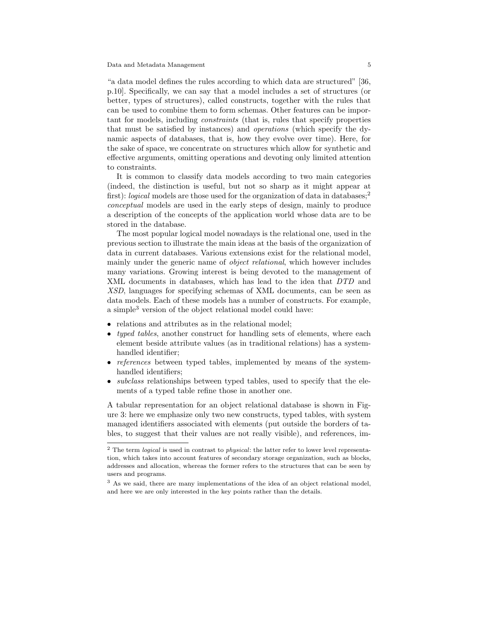"a data model defines the rules according to which data are structured" [36, p.10]. Specifically, we can say that a model includes a set of structures (or better, types of structures), called constructs, together with the rules that can be used to combine them to form schemas. Other features can be important for models, including constraints (that is, rules that specify properties that must be satisfied by instances) and operations (which specify the dynamic aspects of databases, that is, how they evolve over time). Here, for the sake of space, we concentrate on structures which allow for synthetic and effective arguments, omitting operations and devoting only limited attention to constraints.

It is common to classify data models according to two main categories (indeed, the distinction is useful, but not so sharp as it might appear at first): *logical* models are those used for the organization of data in databases;<sup>2</sup> conceptual models are used in the early steps of design, mainly to produce a description of the concepts of the application world whose data are to be stored in the database.

The most popular logical model nowadays is the relational one, used in the previous section to illustrate the main ideas at the basis of the organization of data in current databases. Various extensions exist for the relational model, mainly under the generic name of *object relational*, which however includes many variations. Growing interest is being devoted to the management of XML documents in databases, which has lead to the idea that DTD and XSD, languages for specifying schemas of XML documents, can be seen as data models. Each of these models has a number of constructs. For example, a simple<sup>3</sup> version of the object relational model could have:

- relations and attributes as in the relational model;
- typed tables, another construct for handling sets of elements, where each element beside attribute values (as in traditional relations) has a systemhandled identifier;
- references between typed tables, implemented by means of the systemhandled identifiers;
- *subclass* relationships between typed tables, used to specify that the elements of a typed table refine those in another one.

A tabular representation for an object relational database is shown in Figure 3: here we emphasize only two new constructs, typed tables, with system managed identifiers associated with elements (put outside the borders of tables, to suggest that their values are not really visible), and references, im-

<sup>&</sup>lt;sup>2</sup> The term *logical* is used in contrast to *physical*: the latter refer to lower level representation, which takes into account features of secondary storage organization, such as blocks, addresses and allocation, whereas the former refers to the structures that can be seen by users and programs.

 $3$  As we said, there are many implementations of the idea of an object relational model. and here we are only interested in the key points rather than the details.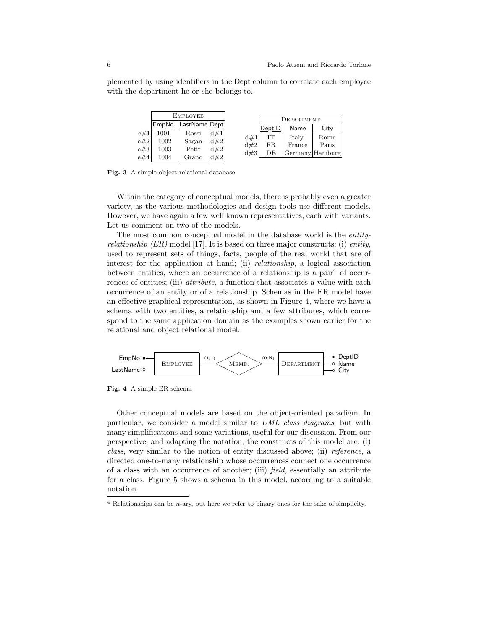plemented by using identifiers in the Dept column to correlate each employee with the department he or she belongs to.

|        |       | EMPLOYEE      |     |     |        | DEPARTMENT |                 |
|--------|-------|---------------|-----|-----|--------|------------|-----------------|
|        | EmpNo | LastName Dept |     |     | DeptID | Name       | City            |
| $e\#1$ | 1001  | Rossi         | d#1 | d#1 | IТ     | Italy      | Rome            |
| $e\#2$ | 1002  | Sagan         | d#2 | d#2 | FR     | France     | Paris           |
| e#3    | 1003  | Petit         | d#2 | d#3 | DE     |            | Germany Hamburg |
| e#4    | 1004  | Grand         | d#2 |     |        |            |                 |

Fig. 3 A simple object-relational database

Within the category of conceptual models, there is probably even a greater variety, as the various methodologies and design tools use different models. However, we have again a few well known representatives, each with variants. Let us comment on two of the models.

The most common conceptual model in the database world is the entity*relationship (ER)* model [17]. It is based on three major constructs: (i) *entity*, used to represent sets of things, facts, people of the real world that are of interest for the application at hand; (ii) relationship, a logical association between entities, where an occurrence of a relationship is a pair<sup>4</sup> of occurrences of entities; (iii) *attribute*, a function that associates a value with each occurrence of an entity or of a relationship. Schemas in the ER model have an effective graphical representation, as shown in Figure 4, where we have a schema with two entities, a relationship and a few attributes, which correspond to the same application domain as the examples shown earlier for the relational and object relational model.



Fig. 4 A simple ER schema

Other conceptual models are based on the object-oriented paradigm. In particular, we consider a model similar to UML class diagrams, but with many simplifications and some variations, useful for our discussion. From our perspective, and adapting the notation, the constructs of this model are: (i) class, very similar to the notion of entity discussed above; (ii) reference, a directed one-to-many relationship whose occurrences connect one occurrence of a class with an occurrence of another; (iii) field, essentially an attribute for a class. Figure 5 shows a schema in this model, according to a suitable notation.

 $4$  Relationships can be *n*-ary, but here we refer to binary ones for the sake of simplicity.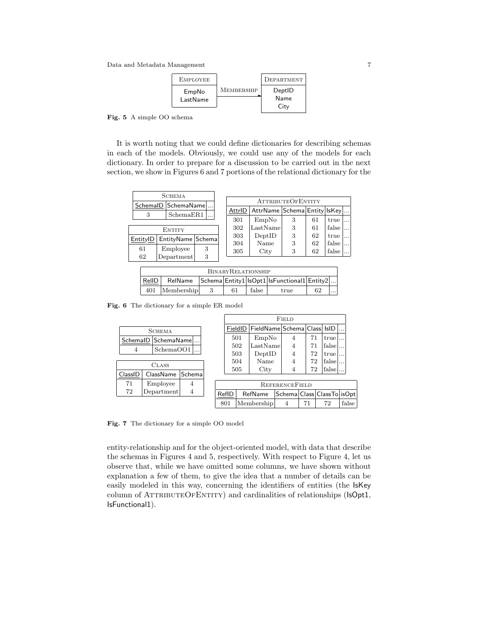Data and Metadata Management 7



Fig. 5 A simple OO schema

It is worth noting that we could define dictionaries for describing schemas in each of the models. Obviously, we could use any of the models for each dictionary. In order to prepare for a discussion to be carried out in the next section, we show in Figures 6 and 7 portions of the relational dictionary for the

| <b>SCHEMA</b>       |                   |   |  |                          |                                             |   |    |         |          |  |  |  |  |  |
|---------------------|-------------------|---|--|--------------------------|---------------------------------------------|---|----|---------|----------|--|--|--|--|--|
| SchemalD SchemaName |                   |   |  | <b>ATTRIBUTEOFENTITY</b> |                                             |   |    |         |          |  |  |  |  |  |
|                     |                   |   |  |                          | AttrID   AttrName   Schema   Entity   IsKey |   |    |         |          |  |  |  |  |  |
| SchemaER1<br>3      |                   |   |  | 301                      | EmpNo                                       | 3 | 61 | true    | $\cdots$ |  |  |  |  |  |
|                     | <b>ENTITY</b>     |   |  | 302                      | LastName                                    | 3 | 61 | false   | $\cdots$ |  |  |  |  |  |
| EntityID            | EntityName Schema |   |  | 303                      | DepthD                                      | 3 | 62 | true    | $\cdots$ |  |  |  |  |  |
|                     |                   |   |  | 304                      | Name                                        | 3 | 62 | false ' | $\cdots$ |  |  |  |  |  |
| 61                  | 3<br>Employee     |   |  | 305                      | City                                        | 3 | 62 | false ! | $\cdots$ |  |  |  |  |  |
| Department<br>62    |                   | 3 |  |                          |                                             |   |    |         |          |  |  |  |  |  |

|           | BINARYRELATIONSHIP |                                                       |  |       |      |    |          |  |  |  |  |  |  |
|-----------|--------------------|-------------------------------------------------------|--|-------|------|----|----------|--|--|--|--|--|--|
| l RelID l | RelName            | $ Schema $ Entity1   IsOpt1   IsFunctional1   Entity2 |  |       |      |    |          |  |  |  |  |  |  |
|           | 401 Membership     | 61                                                    |  | false | true | 62 | $\cdots$ |  |  |  |  |  |  |

Fig. 6 The dictionary for a simple ER model

|         |                     |               |  | FIELD                 |  |                              |                |    |                            |           |       |  |  |
|---------|---------------------|---------------|--|-----------------------|--|------------------------------|----------------|----|----------------------------|-----------|-------|--|--|
|         | <b>SCHEMA</b>       |               |  | FieldID               |  | FieldName Schema Class  IsID |                |    |                            |           |       |  |  |
|         | SchemalD SchemaName |               |  | 501                   |  | EmpNo                        | 4              |    | 71<br>$true$               |           |       |  |  |
| 4       |                     | SchemaOO1     |  | 502                   |  | LastNamel                    | $\overline{4}$ |    | false<br>71                |           |       |  |  |
|         |                     |               |  | 503<br>504            |  | DepthD<br>Name               | 4<br>4         |    | 72<br>true<br>72<br>false  | $\ddotsc$ |       |  |  |
|         | <b>CLASS</b>        |               |  | 505                   |  | City                         | 4              |    | 72<br>$false$              |           |       |  |  |
| ClassID | ClassName           | <b>Schema</b> |  |                       |  |                              |                |    |                            |           |       |  |  |
| 71      | Employee            | 4             |  | <b>REFERENCEFIELD</b> |  |                              |                |    |                            |           |       |  |  |
| 72      | Department          | 4             |  | RefID                 |  | RefName                      |                |    | Schema Class ClassTo isOpt |           |       |  |  |
|         |                     |               |  | 801                   |  | Membership                   | 4              | 71 | 72                         |           | false |  |  |

Fig. 7 The dictionary for a simple OO model

entity-relationship and for the object-oriented model, with data that describe the schemas in Figures 4 and 5, respectively. With respect to Figure 4, let us observe that, while we have omitted some columns, we have shown without explanation a few of them, to give the idea that a number of details can be easily modeled in this way, concerning the identifiers of entities (the IsKey column of ATTRIBUTEOFENTITY) and cardinalities of relationships (IsOpt1, IsFunctional1).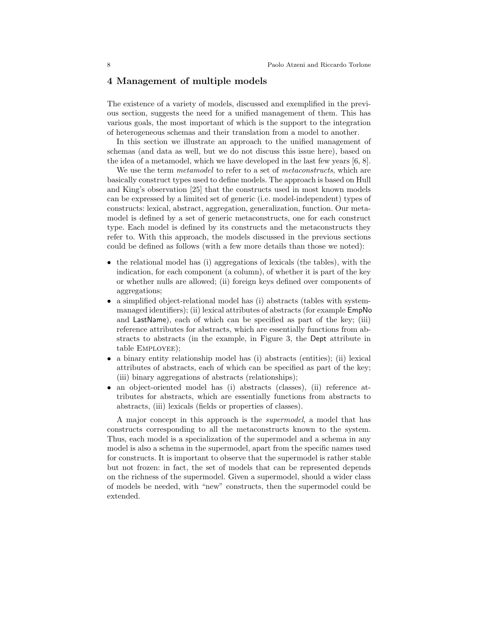# 4 Management of multiple models

The existence of a variety of models, discussed and exemplified in the previous section, suggests the need for a unified management of them. This has various goals, the most important of which is the support to the integration of heterogeneous schemas and their translation from a model to another.

In this section we illustrate an approach to the unified management of schemas (and data as well, but we do not discuss this issue here), based on the idea of a metamodel, which we have developed in the last few years [6, 8].

We use the term *metamodel* to refer to a set of *metaconstructs*, which are basically construct types used to define models. The approach is based on Hull and King's observation [25] that the constructs used in most known models can be expressed by a limited set of generic (i.e. model-independent) types of constructs: lexical, abstract, aggregation, generalization, function. Our metamodel is defined by a set of generic metaconstructs, one for each construct type. Each model is defined by its constructs and the metaconstructs they refer to. With this approach, the models discussed in the previous sections could be defined as follows (with a few more details than those we noted):

- the relational model has (i) aggregations of lexicals (the tables), with the indication, for each component (a column), of whether it is part of the key or whether nulls are allowed; (ii) foreign keys defined over components of aggregations;
- a simplified object-relational model has (i) abstracts (tables with systemmanaged identifiers); (ii) lexical attributes of abstracts (for example EmpNo and LastName), each of which can be specified as part of the key; (iii) reference attributes for abstracts, which are essentially functions from abstracts to abstracts (in the example, in Figure 3, the Dept attribute in table Employee);
- a binary entity relationship model has (i) abstracts (entities); (ii) lexical attributes of abstracts, each of which can be specified as part of the key; (iii) binary aggregations of abstracts (relationships);
- an object-oriented model has (i) abstracts (classes), (ii) reference attributes for abstracts, which are essentially functions from abstracts to abstracts, (iii) lexicals (fields or properties of classes).

A major concept in this approach is the supermodel, a model that has constructs corresponding to all the metaconstructs known to the system. Thus, each model is a specialization of the supermodel and a schema in any model is also a schema in the supermodel, apart from the specific names used for constructs. It is important to observe that the supermodel is rather stable but not frozen: in fact, the set of models that can be represented depends on the richness of the supermodel. Given a supermodel, should a wider class of models be needed, with "new" constructs, then the supermodel could be extended.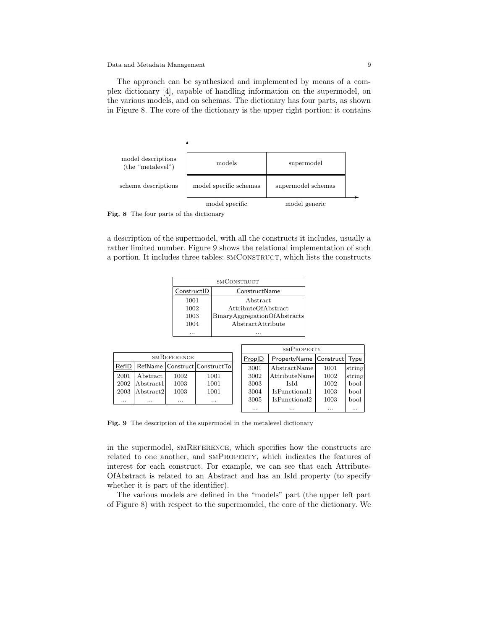#### Data and Metadata Management 9

The approach can be synthesized and implemented by means of a complex dictionary [4], capable of handling information on the supermodel, on the various models, and on schemas. The dictionary has four parts, as shown in Figure 8. The core of the dictionary is the upper right portion: it contains



Fig. 8 The four parts of the dictionary

a description of the supermodel, with all the constructs it includes, usually a rather limited number. Figure 9 shows the relational implementation of such a portion. It includes three tables: SMCONSTRUCT, which lists the constructs

| SMCONSTRUCT |                              |  |  |  |  |  |  |  |  |  |
|-------------|------------------------------|--|--|--|--|--|--|--|--|--|
| ConstructID | ConstructName                |  |  |  |  |  |  |  |  |  |
| 1001        | Abstract                     |  |  |  |  |  |  |  |  |  |
| 1002        | AttributeOfAbstract          |  |  |  |  |  |  |  |  |  |
| 1003        | BinaryAggregationOfAbstracts |  |  |  |  |  |  |  |  |  |
| 1004        | AbstractAttribute            |  |  |  |  |  |  |  |  |  |
|             |                              |  |  |  |  |  |  |  |  |  |

|          |                      | SMREFERENCE |                                    |  | PropID   | PropertyName Construct |          | Type     |
|----------|----------------------|-------------|------------------------------------|--|----------|------------------------|----------|----------|
| RefID    |                      |             | RefName   Construct   Construct To |  | 3001     | AbstractName           | 1001     | string   |
| 2001     | Abstract             | 1002        | 1001                               |  | 3002     | AttributeName          | 1002     | string   |
| 2002     | Abstract1            | 1003        | 1001                               |  | 3003     | IsId                   | 1002     | bool     |
| 2003     | Abstract2            | 1003        | 1001                               |  | 3004     | IsFunctional1          | 1003     | bool     |
| $\cdots$ | $\cdots$<br>$\cdots$ |             | $\cdots$                           |  |          | IsFunctional2          | 1003     | bool     |
|          |                      |             |                                    |  | $\cdots$ |                        | $\cdots$ | $\cdots$ |

Fig. 9 The description of the supermodel in the metalevel dictionary

in the supermodel, smReference, which specifies how the constructs are related to one another, and smProperty, which indicates the features of interest for each construct. For example, we can see that each Attribute-OfAbstract is related to an Abstract and has an IsId property (to specify whether it is part of the identifier).

The various models are defined in the "models" part (the upper left part of Figure 8) with respect to the supermomdel, the core of the dictionary. We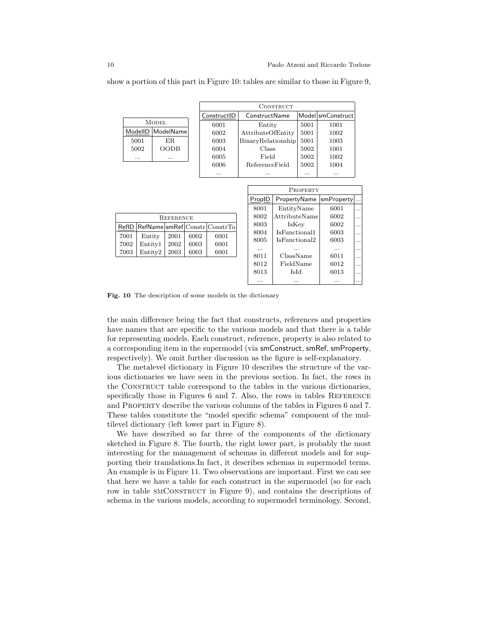... ... ... ...

|       |         |                         |             |      |  |                                |           |                    | CONSTRUCT     |          |                   |           |
|-------|---------|-------------------------|-------------|------|--|--------------------------------|-----------|--------------------|---------------|----------|-------------------|-----------|
|       |         |                         |             |      |  | ConstructID                    |           | ConstructName      |               |          | Model smConstruct |           |
|       |         | MODEL                   |             |      |  | 6001                           |           | Entity             |               | 5001     | 1001              |           |
|       | ModelID |                         | ModelName   |      |  | 6002                           |           | AttributeOfEntity  |               | 5001     | 1002              |           |
|       | 5001    |                         | ER          |      |  | 6003                           |           | BinaryRelationship |               | 5001     | 1003              |           |
|       | 5002    |                         | <b>OODB</b> |      |  | 6004                           |           | Class              |               | 5002     | 1001              |           |
|       | .       |                         | .           |      |  | 6005                           |           | Field              |               | 5002     | 1002              |           |
|       |         |                         |             |      |  | 6006                           |           | ReferenceField     |               | 5002     | 1004              |           |
|       |         |                         |             |      |  | .                              |           |                    |               | .        | .                 |           |
|       |         |                         |             |      |  |                                |           |                    |               |          |                   |           |
|       |         |                         |             |      |  |                                |           |                    |               | PROPERTY |                   |           |
|       |         |                         |             |      |  |                                |           | <b>PropID</b>      | PropertyName  |          | smProperty        |           |
|       |         |                         |             |      |  |                                |           | 8001               | EntityName    |          | 6001              | $\cdots$  |
|       |         |                         | REFERENCE   |      |  |                                |           | 8002               | AttributeName |          | 6002              |           |
| RefID |         |                         |             |      |  | RefName smRef Constr Constr To |           | 8003               | <b>IsKey</b>  |          | 6002              |           |
| 7001  |         |                         | 2001        | 6002 |  | 6001                           |           | 8004               | IsFunctional1 |          | 6003              | $\cdots$  |
|       | Entity  |                         |             |      |  |                                |           | 8005               | IsFunctional2 |          | 6003              | $\cdots$  |
| 7002  | Entity1 |                         | 2002        | 6003 |  | 6001                           |           | .                  |               |          | $\cdots$          | $\cdots$  |
| 7003  |         | Entity2<br>2003<br>6003 |             | 6001 |  | 8011                           | ClassName |                    | 6011          | $\cdots$ |                   |           |
|       |         |                         |             |      |  |                                |           | 8012               | FieldName     |          | 6012              |           |
|       |         |                         |             |      |  |                                |           | 8013               | IsId          |          | 6013              | $\ddotsc$ |

show a portion of this part in Figure 10: tables are similar to those in Figure 9,

Fig. 10 The description of some models in the dictionary

the main difference being the fact that constructs, references and properties have names that are specific to the various models and that there is a table for representing models. Each construct, reference, property is also related to a corresponding item in the supermodel (via smConstruct, smRef, smProperty, respectively). We omit further discussion as the figure is self-explanatory.

The metalevel dictionary in Figure 10 describes the structure of the various dictionaries we have seen in the previous section. In fact, the rows in the CONSTRUCT table correspond to the tables in the various dictionaries, specifically those in Figures 6 and 7. Also, the rows in tables REFERENCE and Property describe the various columns of the tables in Figures 6 and 7. These tables constitute the "model specific schema" component of the multilevel dictionary (left lower part in Figure 8).

We have described so far three of the components of the dictionary sketched in Figure 8. The fourth, the right lower part, is probably the most interesting for the management of schemas in different models and for supporting their translations.In fact, it describes schemas in supermodel terms. An example is in Figure 11. Two observations are important. First we can see that here we have a table for each construct in the supermodel (so for each row in table SMCONSTRUCT in Figure 9), and contains the descriptions of schema in the various models, according to supermodel terminology. Second,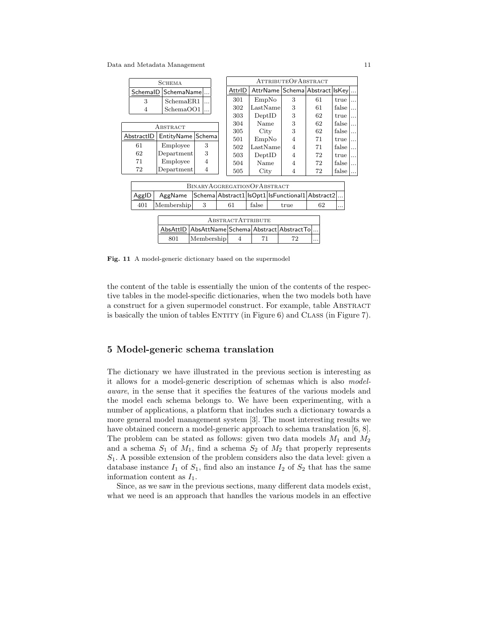|            | <b>SCHEMA</b> |                                    |  |                   |          |  | <b>ATTRIBUTEOFABSTRACT</b>            |                                                       |       |          |
|------------|---------------|------------------------------------|--|-------------------|----------|--|---------------------------------------|-------------------------------------------------------|-------|----------|
| SchemalD   | SchemaName    |                                    |  | AttrlD            |          |  |                                       | AttrName Schema Abstract IsKey                        |       |          |
| 3          | SchemaER1     |                                    |  | 301               | EmpNo    |  | 3                                     | 61                                                    | true  | $\cdots$ |
| 4          | SchemaOO1     |                                    |  | 302               | LastName |  | 3                                     | 61                                                    | false | $\cdots$ |
|            |               |                                    |  |                   | DepthD   |  | 3                                     | 62                                                    | true  | $\cdots$ |
|            | ABSTRACT      |                                    |  | 304               | Name     |  | 3                                     | 62                                                    | false | $\cdots$ |
| AbstractID |               | Schema                             |  | 305               | City     |  | 3                                     | 62                                                    | false | $\cdots$ |
|            | EntityName    |                                    |  | 501               | EmpNo    |  | $\overline{4}$                        | 71                                                    | true  | $\cdots$ |
| 61         | Employee      | 3                                  |  | 502               | LastName |  | $\overline{4}$                        | 71                                                    | false | $\cdots$ |
| 62         | Department    | 3                                  |  | 503               | DepthD   |  | 4                                     | 72                                                    | true  | $\cdots$ |
| 71         | Employee      | $\overline{4}$                     |  | 504               | Name     |  | $\overline{4}$                        | 72                                                    | false |          |
| 72         | Department    | $\overline{4}$                     |  | 505               | City     |  | 4                                     | 72                                                    | false | $\ldots$ |
|            |               |                                    |  |                   |          |  |                                       |                                                       |       |          |
|            |               | <b>BINARYAGGREGATIONOFABSTRACT</b> |  |                   |          |  |                                       |                                                       |       |          |
| AggID      | AggName       |                                    |  |                   |          |  |                                       | Schema Abstract1   IsOpt1   IsFunctional1   Abstract2 |       |          |
| 401        | Membership    | 3                                  |  | 61                | false    |  | true                                  | 62                                                    |       |          |
|            |               |                                    |  |                   |          |  |                                       |                                                       |       |          |
|            |               |                                    |  | ABSTRACTATTRIBUTE |          |  |                                       |                                                       |       |          |
|            | AbsAttID      |                                    |  |                   |          |  | AbsAttName Schema Abstract AbstractTo |                                                       |       |          |
|            | 801           | Membership                         |  | $\overline{4}$    | 71       |  | 72                                    |                                                       |       |          |

Fig. 11 A model-generic dictionary based on the supermodel

the content of the table is essentially the union of the contents of the respective tables in the model-specific dictionaries, when the two models both have a construct for a given supermodel construct. For example, table ABSTRACT is basically the union of tables ENTITY (in Figure  $6$ ) and CLASS (in Figure  $7$ ).

# 5 Model-generic schema translation

The dictionary we have illustrated in the previous section is interesting as it allows for a model-generic description of schemas which is also modelaware, in the sense that it specifies the features of the various models and the model each schema belongs to. We have been experimenting, with a number of applications, a platform that includes such a dictionary towards a more general model management system [3]. The most interesting results we have obtained concern a model-generic approach to schema translation [6, 8]. The problem can be stated as follows: given two data models  $M_1$  and  $M_2$ and a schema  $S_1$  of  $M_1$ , find a schema  $S_2$  of  $M_2$  that properly represents  $S_1$ . A possible extension of the problem considers also the data level: given a database instance  $I_1$  of  $S_1$ , find also an instance  $I_2$  of  $S_2$  that has the same information content as  $I_1$ .

Since, as we saw in the previous sections, many different data models exist, what we need is an approach that handles the various models in an effective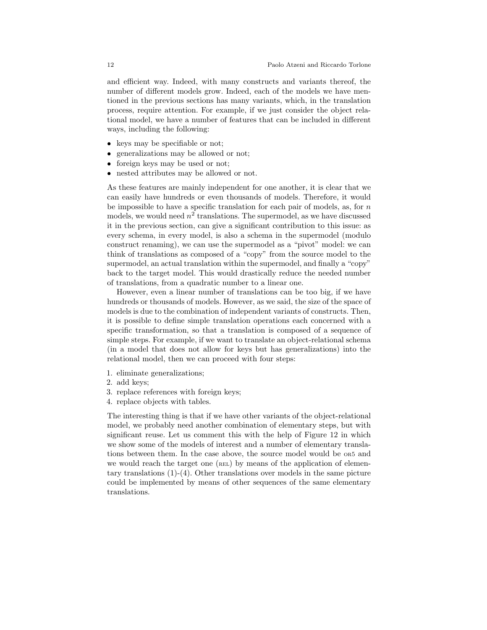and efficient way. Indeed, with many constructs and variants thereof, the number of different models grow. Indeed, each of the models we have mentioned in the previous sections has many variants, which, in the translation process, require attention. For example, if we just consider the object relational model, we have a number of features that can be included in different ways, including the following:

- keys may be specifiable or not;
- generalizations may be allowed or not;
- foreign keys may be used or not;
- nested attributes may be allowed or not.

As these features are mainly independent for one another, it is clear that we can easily have hundreds or even thousands of models. Therefore, it would be impossible to have a specific translation for each pair of models, as, for  $n$ models, we would need  $n^2$  translations. The supermodel, as we have discussed it in the previous section, can give a significant contribution to this issue: as every schema, in every model, is also a schema in the supermodel (modulo construct renaming), we can use the supermodel as a "pivot" model: we can think of translations as composed of a "copy" from the source model to the supermodel, an actual translation within the supermodel, and finally a "copy" back to the target model. This would drastically reduce the needed number of translations, from a quadratic number to a linear one.

However, even a linear number of translations can be too big, if we have hundreds or thousands of models. However, as we said, the size of the space of models is due to the combination of independent variants of constructs. Then, it is possible to define simple translation operations each concerned with a specific transformation, so that a translation is composed of a sequence of simple steps. For example, if we want to translate an object-relational schema (in a model that does not allow for keys but has generalizations) into the relational model, then we can proceed with four steps:

- 1. eliminate generalizations;
- 2. add keys;
- 3. replace references with foreign keys;
- 4. replace objects with tables.

The interesting thing is that if we have other variants of the object-relational model, we probably need another combination of elementary steps, but with significant reuse. Let us comment this with the help of Figure 12 in which we show some of the models of interest and a number of elementary translations between them. In the case above, the source model would be or5 and we would reach the target one  $(\text{rel})$  by means of the application of elementary translations (1)-(4). Other translations over models in the same picture could be implemented by means of other sequences of the same elementary translations.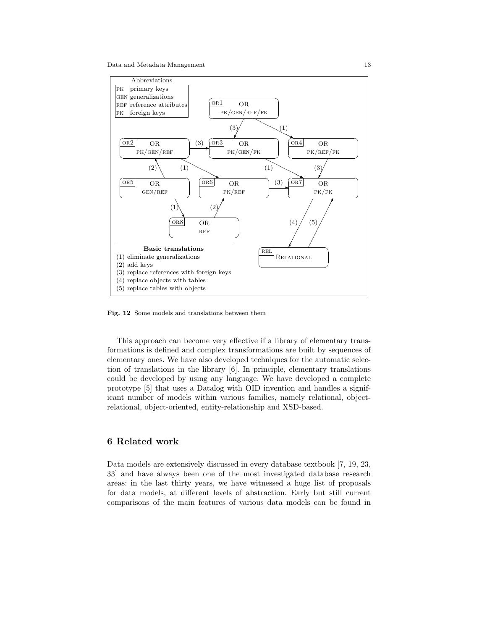

Fig. 12 Some models and translations between them

This approach can become very effective if a library of elementary transformations is defined and complex transformations are built by sequences of elementary ones. We have also developed techniques for the automatic selection of translations in the library [6]. In principle, elementary translations could be developed by using any language. We have developed a complete prototype [5] that uses a Datalog with OID invention and handles a significant number of models within various families, namely relational, objectrelational, object-oriented, entity-relationship and XSD-based.

# 6 Related work

Data models are extensively discussed in every database textbook [7, 19, 23, 33] and have always been one of the most investigated database research areas: in the last thirty years, we have witnessed a huge list of proposals for data models, at different levels of abstraction. Early but still current comparisons of the main features of various data models can be found in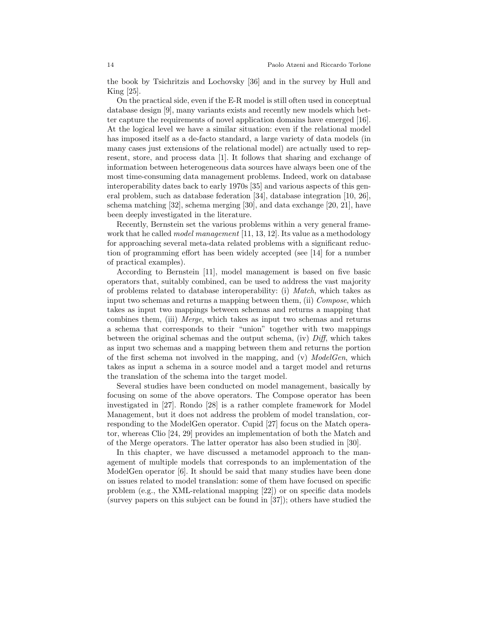the book by Tsichritzis and Lochovsky [36] and in the survey by Hull and King [25].

On the practical side, even if the E-R model is still often used in conceptual database design [9], many variants exists and recently new models which better capture the requirements of novel application domains have emerged [16]. At the logical level we have a similar situation: even if the relational model has imposed itself as a de-facto standard, a large variety of data models (in many cases just extensions of the relational model) are actually used to represent, store, and process data [1]. It follows that sharing and exchange of information between heterogeneous data sources have always been one of the most time-consuming data management problems. Indeed, work on database interoperability dates back to early 1970s [35] and various aspects of this general problem, such as database federation [34], database integration [10, 26], schema matching [32], schema merging [30], and data exchange [20, 21], have been deeply investigated in the literature.

Recently, Bernstein set the various problems within a very general framework that he called *model management* [11, 13, 12]. Its value as a methodology for approaching several meta-data related problems with a significant reduction of programming effort has been widely accepted (see [14] for a number of practical examples).

According to Bernstein [11], model management is based on five basic operators that, suitably combined, can be used to address the vast majority of problems related to database interoperability: (i) Match, which takes as input two schemas and returns a mapping between them, (ii) Compose, which takes as input two mappings between schemas and returns a mapping that combines them, (iii) Merge, which takes as input two schemas and returns a schema that corresponds to their "union" together with two mappings between the original schemas and the output schema, (iv)  $Diff$ , which takes as input two schemas and a mapping between them and returns the portion of the first schema not involved in the mapping, and (v) ModelGen, which takes as input a schema in a source model and a target model and returns the translation of the schema into the target model.

Several studies have been conducted on model management, basically by focusing on some of the above operators. The Compose operator has been investigated in [27]. Rondo [28] is a rather complete framework for Model Management, but it does not address the problem of model translation, corresponding to the ModelGen operator. Cupid [27] focus on the Match operator, whereas Clio [24, 29] provides an implementation of both the Match and of the Merge operators. The latter operator has also been studied in [30].

In this chapter, we have discussed a metamodel approach to the management of multiple models that corresponds to an implementation of the ModelGen operator [6]. It should be said that many studies have been done on issues related to model translation: some of them have focused on specific problem (e.g., the XML-relational mapping [22]) or on specific data models (survey papers on this subject can be found in [37]); others have studied the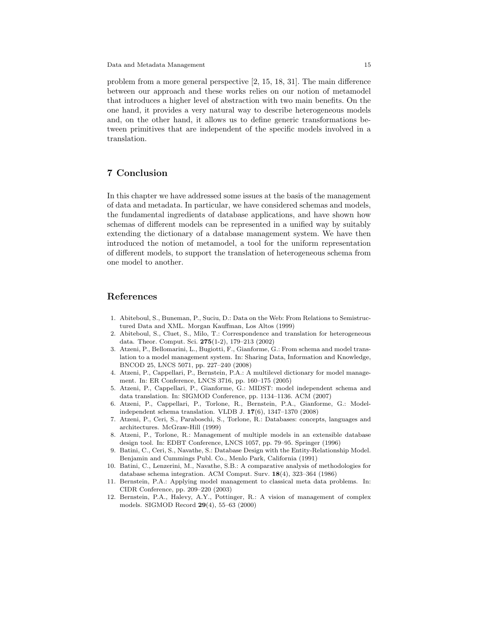problem from a more general perspective [2, 15, 18, 31]. The main difference between our approach and these works relies on our notion of metamodel that introduces a higher level of abstraction with two main benefits. On the one hand, it provides a very natural way to describe heterogeneous models and, on the other hand, it allows us to define generic transformations between primitives that are independent of the specific models involved in a translation.

# 7 Conclusion

In this chapter we have addressed some issues at the basis of the management of data and metadata. In particular, we have considered schemas and models, the fundamental ingredients of database applications, and have shown how schemas of different models can be represented in a unified way by suitably extending the dictionary of a database management system. We have then introduced the notion of metamodel, a tool for the uniform representation of different models, to support the translation of heterogeneous schema from one model to another.

### References

- 1. Abiteboul, S., Buneman, P., Suciu, D.: Data on the Web: From Relations to Semistructured Data and XML. Morgan Kauffman, Los Altos (1999)
- 2. Abiteboul, S., Cluet, S., Milo, T.: Correspondence and translation for heterogeneous data. Theor. Comput. Sci. 275(1-2), 179–213 (2002)
- 3. Atzeni, P., Bellomarini, L., Bugiotti, F., Gianforme, G.: From schema and model translation to a model management system. In: Sharing Data, Information and Knowledge, BNCOD 25, LNCS 5071, pp. 227–240 (2008)
- 4. Atzeni, P., Cappellari, P., Bernstein, P.A.: A multilevel dictionary for model management. In: ER Conference, LNCS 3716, pp. 160–175 (2005)
- 5. Atzeni, P., Cappellari, P., Gianforme, G.: MIDST: model independent schema and data translation. In: SIGMOD Conference, pp. 1134–1136. ACM (2007)
- 6. Atzeni, P., Cappellari, P., Torlone, R., Bernstein, P.A., Gianforme, G.: Modelindependent schema translation. VLDB J. 17(6), 1347–1370 (2008)
- 7. Atzeni, P., Ceri, S., Paraboschi, S., Torlone, R.: Databases: concepts, languages and architectures. McGraw-Hill (1999)
- 8. Atzeni, P., Torlone, R.: Management of multiple models in an extensible database design tool. In: EDBT Conference, LNCS 1057, pp. 79–95. Springer (1996)
- 9. Batini, C., Ceri, S., Navathe, S.: Database Design with the Entity-Relationship Model. Benjamin and Cummings Publ. Co., Menlo Park, California (1991)
- 10. Batini, C., Lenzerini, M., Navathe, S.B.: A comparative analysis of methodologies for database schema integration. ACM Comput. Surv. 18(4), 323–364 (1986)
- 11. Bernstein, P.A.: Applying model management to classical meta data problems. In: CIDR Conference, pp. 209–220 (2003)
- 12. Bernstein, P.A., Halevy, A.Y., Pottinger, R.: A vision of management of complex models. SIGMOD Record 29(4), 55–63 (2000)